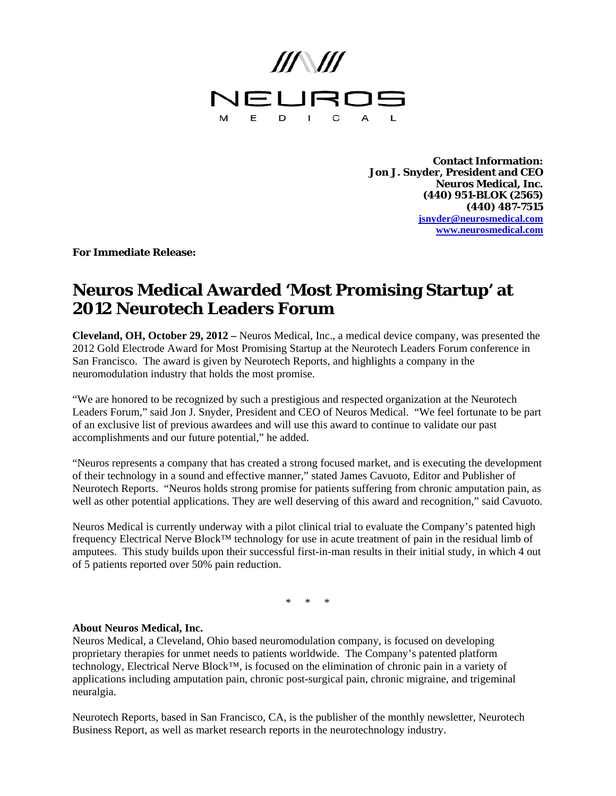

**Contact Information: Jon J. Snyder, President and CEO Neuros Medical, Inc. (440) 951-BLOK (2565) (440) 487-7515 jsnyder@neurosmedical.com www.neurosmedical.com**

**For Immediate Release:** 

## **Neuros Medical Awarded 'Most Promising Startup' at 2012 Neurotech Leaders Forum**

**Cleveland, OH, October 29, 2012 –** Neuros Medical, Inc., a medical device company, was presented the 2012 Gold Electrode Award for Most Promising Startup at the Neurotech Leaders Forum conference in San Francisco. The award is given by Neurotech Reports, and highlights a company in the neuromodulation industry that holds the most promise.

"We are honored to be recognized by such a prestigious and respected organization at the Neurotech Leaders Forum," said Jon J. Snyder, President and CEO of Neuros Medical. "We feel fortunate to be part of an exclusive list of previous awardees and will use this award to continue to validate our past accomplishments and our future potential," he added.

"Neuros represents a company that has created a strong focused market, and is executing the development of their technology in a sound and effective manner," stated James Cavuoto, Editor and Publisher of Neurotech Reports. "Neuros holds strong promise for patients suffering from chronic amputation pain, as well as other potential applications. They are well deserving of this award and recognition," said Cavuoto.

Neuros Medical is currently underway with a pilot clinical trial to evaluate the Company's patented high frequency Electrical Nerve Block™ technology for use in acute treatment of pain in the residual limb of amputees. This study builds upon their successful first-in-man results in their initial study, in which 4 out of 5 patients reported over 50% pain reduction.

\* \* \*

## **About Neuros Medical, Inc.**

Neuros Medical, a Cleveland, Ohio based neuromodulation company, is focused on developing proprietary therapies for unmet needs to patients worldwide. The Company's patented platform technology, Electrical Nerve Block™, is focused on the elimination of chronic pain in a variety of applications including amputation pain, chronic post-surgical pain, chronic migraine, and trigeminal neuralgia.

Neurotech Reports, based in San Francisco, CA, is the publisher of the monthly newsletter, Neurotech Business Report, as well as market research reports in the neurotechnology industry.